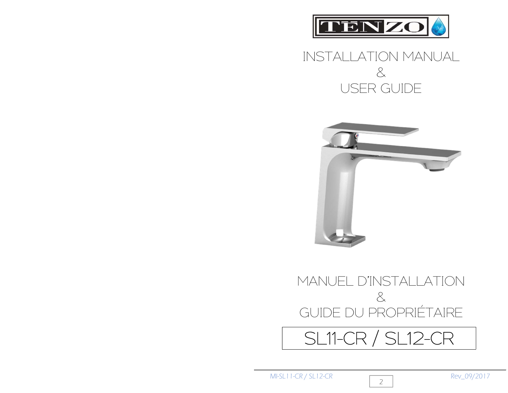

INSTALLATION MANUAL & USER GUIDE



# MANUEL D'INSTALLATION  $8$ GUIDE DU PROPRIÉTAIRE

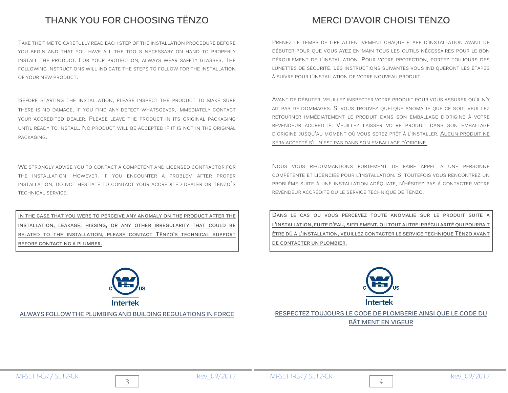## THANK YOU FOR CHOOSING TËNZO

#### TAKE THE TIME TO CAREFULLY READ EACH STEP OF THE INSTALLATION PROCEDURE BEFORE YOU BEGIN AND THAT YOU HAVE ALL THE TOOLS NECESSARY ON HAND TO PROPERLY INSTALL THE PRODUCT. FOR YOUR PROTECTION, ALWAYS WEAR SAFETY GLASSES. THE FOLLOWING INSTRUCTIONS WILL INDICATE THE STEPS TO FOLLOW FOR THE INSTALLATION OF YOUR NEW PRODUCT.

BEFORE STARTING THE INSTALLATION, PLEASE INSPECT THE PRODUCT TO MAKE SURE THERE IS NO DAMAGE. IF YOU FIND ANY DEFECT WHATSOEVER, IMMEDIATELY CONTACT YOUR ACCREDITED DEALER. PLEASE LEAVE THE PRODUCT IN ITS ORIGINAL PACKAGING UNTIL READY TO INSTALL. NO PRODUCT WILL BE ACCEPTED IF IT IS NOT IN THE ORIGINAL PACKAGING.

WE STRONGLY ADVISE YOU TO CONTACT A COMPETENT AND LICENSED CONTRACTOR FOR THE INSTALLATION. HOWEVER, IF YOU ENCOUNTER A PROBLEM AFTER PROPER INSTALLATION, DO NOT HESITATE TO CONTACT YOUR ACCREDITED DEALER OR TËNZO'<sup>S</sup> TECHNICAL SERVICE.

IN THE CASE THAT YOU WERE TO PERCEIVE ANY ANOMALY ON THE PRODUCT AFTER THE INSTALLATION, LEAKAGE, HISSING, OR ANY OTHER IRREGULARITY THAT COULD BE RELATED TO THE INSTALLATION, PLEASE CONTACT TËNZO'S TECHNICAL SUPPORT BEFORE CONTACTING A PLUMBER.

PRENEZ LE TEMPS DE LIRE ATTENTIVEMENT CHAQUE ÉTAPE D'INSTALLATION AVANT DE DÉBUTER POUR QUE VOUS AYEZ EN MAIN TOUS LES OUTILS NÉCESSAIRES POUR LE BON DÉROULEMENT DE L'INSTALLATION. POUR VOTRE PROTECTION, PORTEZ TOUJOURS DES LUNETTES DE SÉCURITÉ. LES INSTRUCTIONS SUIVANTES VOUS INDIQUERONT LES ÉTAPES À SUIVRE POUR L'INSTALLATION DE VOTRE NOUVEAU PRODUIT.

MERCI D'AVOIR CHOISI TËNZO

AVANT DE DÉBUTER, VEUILLEZ INSPECTER VOTRE PRODUIT POUR VOUS ASSURER QU'IL N'Y AIT PAS DE DOMMAGES. SI VOUS TROUVEZ QUELQUE ANOMALIE QUE CE SOIT, VEUILLEZ RETOURNER IMMÉDIATEMENT LE PRODUIT DANS SON EMBALLAGE D'ORIGINE À VOTRE REVENDEUR ACCRÉDITÉ. VEUILLEZ LAISSER VOTRE PRODUIT DANS SON EMBALLAGE D'ORIGINE JUSQU'AU MOMENT OÙ VOUS SEREZ PRÊT À L'INSTALLER. AUCUN PRODUIT NE SERA ACCEPTÉ S'IL N'EST PAS DANS SON EMBALLAGE D'ORIGINE.

NOUS VOUS RECOMMANDONS FORTEMENT DE FAIRE APPEL À UNE PERSONNE COMPÉTENTE ET LICENCIÉE POUR L'INSTALLATION. SI TOUTEFOIS VOUS RENCONTREZ UN PROBLÈME SUITE À UNE INSTALLATION ADÉQUATE, N'HÉSITEZ PAS À CONTACTER VOTRE REVENDEUR ACCRÉDITÉ OU LE SERVICE TECHNIQUE DE TËNZO.

DANS LE CAS OÙ VOUS PERCEVEZ TOUTE ANOMALIE SUR LE PRODUIT SUITE À L'INSTALLATION, FUITE D'EAU, SIFFLEMENT, OU TOUT AUTRE IRRÉGULARITÉ QUI POURRAIT ÊTRE DÛ À L'INSTALLATION, VEUILLEZ CONTACTER LE SERVICE TECHNIQUE TËNZO AVANT DE CONTACTER UN PLOMBIER.



RESPECTEZ TOUJOURS LE CODE DE PLOMBERIE AINSI QUE LE CODE DU BÂTIMENT EN VIGEUR

4



ALWAYS FOLLOW THE PLUMBING AND BUILDING REGULATIONS IN FORCE



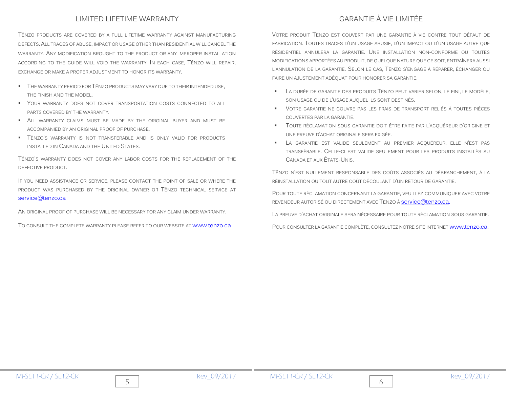#### LIMITED LIFETIME WARRANTY

TËNZO PRODUCTS ARE COVERED BY A FULL LIFETIME WARRANTY AGAINST MANUFACTURING DEFECTS. ALL TRACES OF ABUSE, IMPACT OR USAGE OTHER THAN RESIDENTIAL WILL CANCEL THE WARRANTY. ANY MODIFICATION BROUGHT TO THE PRODUCT OR ANY IMPROPER INSTALLATION ACCORDING TO THE GUIDE WILL VOID THE WARRANTY. IN EACH CASE, TÊNZO WILL REPAIR, EXCHANGE OR MAKE A PROPER ADJUSTMENT TO HONOR ITS WARRANTY.

- THE WARRANTY PERIOD FOR TËNZO PRODUCTS MAY VARY DUE TO THEIR INTENDED USE, THE FINISH AND THE MODEL.
- YOUR WARRANTY DOES NOT COVER TRANSPORTATION COSTS CONNECTED TO ALL PARTS COVERED BY THE WARRANTY.
- ALL WARRANTY CLAIMS MUST BE MADE BY THE ORIGINAL BUYER AND MUST BE ACCOMPANIED BY AN ORIGINAL PROOF OF PURCHASE.
- TËNZO'S WARRANTY IS NOT TRANSFERABLE AND IS ONLY VALID FOR PRODUCTS INSTALLED IN CANADA AND THE UNITED STATES.

TÊNZO'S WARRANTY DOES NOT COVER ANY LABOR COSTS FOR THE REPLACEMENT OF THE DEFECTIVE PRODUCT.

IF YOU NEED ASSISTANCE OR SERVICE, PLEASE CONTACT THE POINT OF SALE OR WHERE THE PRODUCT WAS PURCHASED BY THE ORIGINAL OWNER OR TÊNZO TECHNICAL SERVICE AT service@tenzo.ca

AN ORIGINAL PROOF OF PURCHASE WILL BE NECESSARY FOR ANY CLAIM UNDER WARRANTY.

TO CONSULT THE COMPLETE WARRANTY PLEASE REFER TO OUR WEBSITE AT www.tenzo.ca

### GARANTIE À VIE LIMITÉE

VOTRE PRODUIT TËNZO EST COUVERT PAR UNE GARANTIE À VIE CONTRE TOUT DÉFAUT DE FABRICATION. TOUTES TRACES D'UN USAGE ABUSIF, D'UN IMPACT OU D'UN USAGE AUTRE QUE RÉSIDENTIEL ANNULERA LA GARANTIE. UNE INSTALLATION NON-CONFORME OU TOUTES MODIFICATIONS APPORTÉES AU PRODUIT, DE QUELQUE NATURE QUE CE SOIT, ENTRAÎNERA AUSSI L'ANNULATION DE LA GARANTIE. SELON LE CAS, TËNZO S'ENGAGE À RÉPARER, ÉCHANGER OU FAIRE UN AJUSTEMENT ADÉQUAT POUR HONORER SA GARANTIE.

- LA DURÉE DE GARANTIE DES PRODUITS TËNZO PEUT VARIER SELON, LE FINI, LE MODÈLE, SON USAGE OU DE L'USAGE AUQUEL ILS SONT DESTINÉS.
- VOTRE GARANTIE NE COUVRE PAS LES FRAIS DE TRANSPORT RELIÉS À TOUTES PIÈCES COUVERTES PAR LA GARANTIE.
- TOUTE RÉCLAMATION SOUS GARANTIE DOIT ÊTRE FAITE PAR L'ACQUÉREUR D'ORIGINE ET UNE PREUVE D'ACHAT ORIGINALE SERA EXIGÉE.
- LA GARANTIE EST VALIDE SEULEMENT AU PREMIER ACQUÉREUR, ELLE N'EST PAS TRANSFÉRABLE. CELLE-CI EST VALIDE SEULEMENT POUR LES PRODUITS INSTALLÉS AU CANADA ET AUX ÉTATS-UNIS.

TËNZO N'EST NULLEMENT RESPONSABLE DES COÛTS ASSOCIÉS AU DÉBRANCHEMENT, À LA RÉINSTALLATION OU TOUT AUTRE COÛT DÉCOULANT D'UN RETOUR DE GARANTIE.

POUR TOUTE RÉCLAMATION CONCERNANT LA GARANTIE, VEUILLEZ COMMUNIQUER AVEC VOTRE REVENDEUR AUTORISÉ OU DIRECTEMENT AVEC TËNZO À service@tenzo.ca.

LA PREUVE D'ACHAT ORIGINALE SERA NÉCESSAIRE POUR TOUTE RÉCLAMATION SOUS GARANTIE.

POUR CONSULTER LA GARANTIE COMPLÈTE, CONSULTEZ NOTRE SITE INTERNET www.tenzo.ca.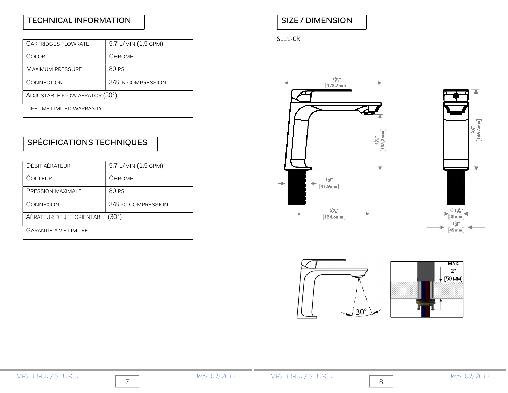## TECHNICAL INFORMATION

| CARTRIDGES FLOWRATE           | 5.7 L/MIN (1,5 GPM) |
|-------------------------------|---------------------|
| COLOR                         | CHROME              |
| <b>MAXIMUM PRESSURE</b>       | 80 PSI              |
| CONNECTION                    | 3/8 IN COMPRESSION  |
| ADJUSTABLE FLOW AERATOR (30°) |                     |
| LIFETIME LIMITED WARRANTY     |                     |

## SPÉCIFICATIONS TECHNIQUES

| DÉBIT AÉRATEUR                   | 5.7 L/MIN (1.5 GPM) |
|----------------------------------|---------------------|
| COULEUR                          | <b>CHROME</b>       |
| PRESSION MAXIMALE                | 80 PSI              |
| CONNEXION                        | 3/8 PO COMPRESSION  |
| AÉRATEUR DE JET ORIENTABLE (30°) |                     |
| <b>GARANTIE À VIE LIMITÉE</b>    |                     |

## SIZE / DIMENSION

#### SL11-CR



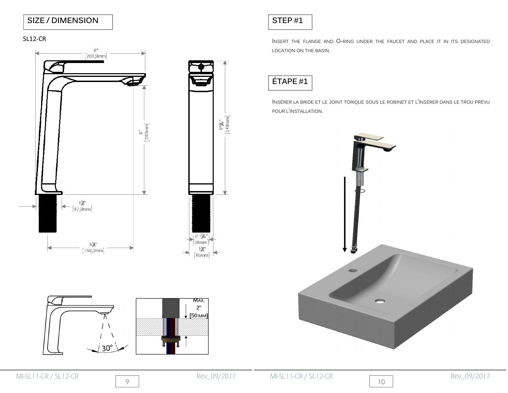## SIZE / DIMENSION

#### SL12-CR





MAX.<br>2" [50 MM]  $30^\circ$ 



INSERT THE FLANGE AND O-RING UNDER THE FAUCET AND PLACE IT IN ITS DESIGNATED LOCATION ON THE BASIN.



INSÉRER LA BRIDE ET LE JOINT TORIQUE SOUS LE ROBINET ET L'INSÉRER DANS LE TROU PRÉVU POUR L'INSTALLATION.

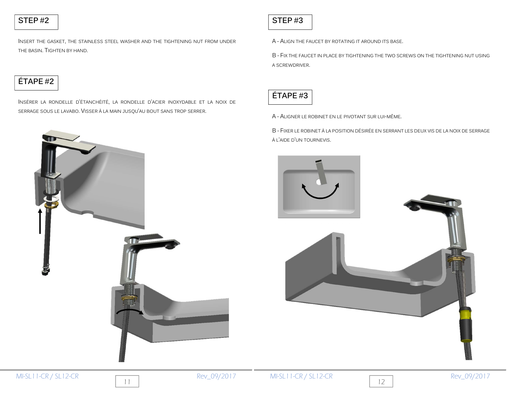### STEP #2

INSERT THE GASKET, THE STAINLESS STEEL WASHER AND THE TIGHTENING NUT FROM UNDER THE BASIN. TIGHTEN BY HAND.

## ÉTAPE #2

INSÉRER LA RONDELLE D'ÉTANCHÉITÉ, LA RONDELLE D'ACIER INOXYDABLE ET LA NOIX DE SERRAGE SOUS LE LAVABO. VISSER À LA MAIN JUSQU'AU BOUT SANS TROP SERRER.



## STEP #3

A - ALIGN THE FAUCET BY ROTATING IT AROUND ITS BASE.

B - FIX THE FAUCET IN PLACE BY TIGHTENING THE TWO SCREWS ON THE TIGHTENING NUT USING A SCREWDRIVER.



A - ALIGNER LE ROBINET EN LE PIVOTANT SUR LUI-MÊME.

B - FIXER LE ROBINET À LA POSITION DÉSIRÉE EN SERRANT LES DEUX VIS DE LA NOIX DE SERRAGE À L'AIDE D'UN TOURNEVIS.

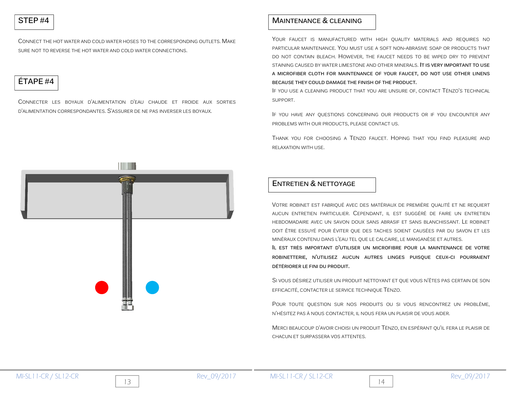#### STEP #4

CONNECT THE HOT WATER AND COLD WATER HOSES TO THE CORRESPONDING OUTLETS. MAKE SURE NOT TO REVERSE THE HOT WATER AND COLD WATER CONNECTIONS.

### ÉTAPE #4

CONNECTER LES BOYAUX D'ALIMENTATION D'EAU CHAUDE ET FROIDE AUX SORTIES D'ALIMENTATION CORRESPONDANTES. S'ASSURER DE NE PAS INVERSER LES BOYAUX.

#### DO NOT CONTAIN BLEACH. HOWEVER, THE FAUCET NEEDS TO BE WIPED DRY TO PREVENT STAINING CAUSED BY WATER LIMESTONE AND OTHER MINERALS. IT IS VERY IMPORTANT TO USE A MICROFIBER CLOTH FOR MAINTENANCE OF YOUR FAUCET, DO NOT USE OTHER LINENS BECAUSE THEY COULD DAMAGE THE FINISH OF THE PRODUCT.

IF YOU USE A CLEANING PRODUCT THAT YOU ARE UNSURE OF, CONTACT TËNZO'S TECHNICAL SUPPORT.

YOUR FAUCET IS MANUFACTURED WITH HIGH QUALITY MATERIALS AND REQUIRES NO PARTICULAR MAINTENANCE. YOU MUST USE A SOFT NON-ABRASIVE SOAP OR PRODUCTS THAT

IF YOU HAVE ANY QUESTIONS CONCERNING OUR PRODUCTS OR IF YOU ENCOUNTER ANY PROBLEMS WITH OUR PRODUCTS, PLEASE CONTACT US.

THANK YOU FOR CHOOSING A TËNZO FAUCET. HOPING THAT YOU FIND PLEASURE AND RELAXATION WITH USE.



#### ENTRETIEN & NETTOYAGE

MAINTENANCE & CLEANING

VOTRE ROBINET EST FABRIQUÉ AVEC DES MATÉRIAUX DE PREMIÈRE QUALITÉ ET NE REQUIERT AUCUN ENTRETIEN PARTICULIER. CEPENDANT, IL EST SUGGÉRÉ DE FAIRE UN ENTRETIEN HEBDOMADAIRE AVEC UN SAVON DOUX SANS ABRASIF ET SANS BLANCHISSANT. LE ROBINET DOIT ÊTRE ESSUYÉ POUR ÉVITER QUE DES TACHES SOIENT CAUSÉES PAR DU SAVON ET LES MINÉRAUX CONTENU DANS L'EAU TEL QUE LE CALCAIRE, LE MANGANÈSE ET AUTRES.

IL EST TRÈS IMPORTANT D'UTILISER UN MICROFIBRE POUR LA MAINTENANCE DE VOTRE ROBINETTERIE, N'UTILISEZ AUCUN AUTRES LINGES PUISQUE CEUX-CI POURRAIENT DÉTÉRIORER LE FINI DU PRODUIT.

SI VOUS DÉSIREZ UTILISER UN PRODUIT NETTOYANT ET QUE VOUS N'ÊTES PAS CERTAIN DE SON EFFICACITÉ, CONTACTER LE SERVICE TECHNIQUE TËNZO.

POUR TOUTE QUESTION SUR NOS PRODUITS OU SI VOUS RENCONTREZ UN PROBLÈME, N'HÉSITEZ PAS À NOUS CONTACTER, IL NOUS FERA UN PLAISIR DE VOUS AIDER.

MERCI BEAUCOUP D'AVOIR CHOISI UN PRODUIT TËNZO, EN ESPÉRANT QU'IL FERA LE PLAISIR DE CHACUN ET SURPASSERA VOS ATTENTES.

14

#### MI-SL11-CR / SL12-CR **Rev** 09/2017